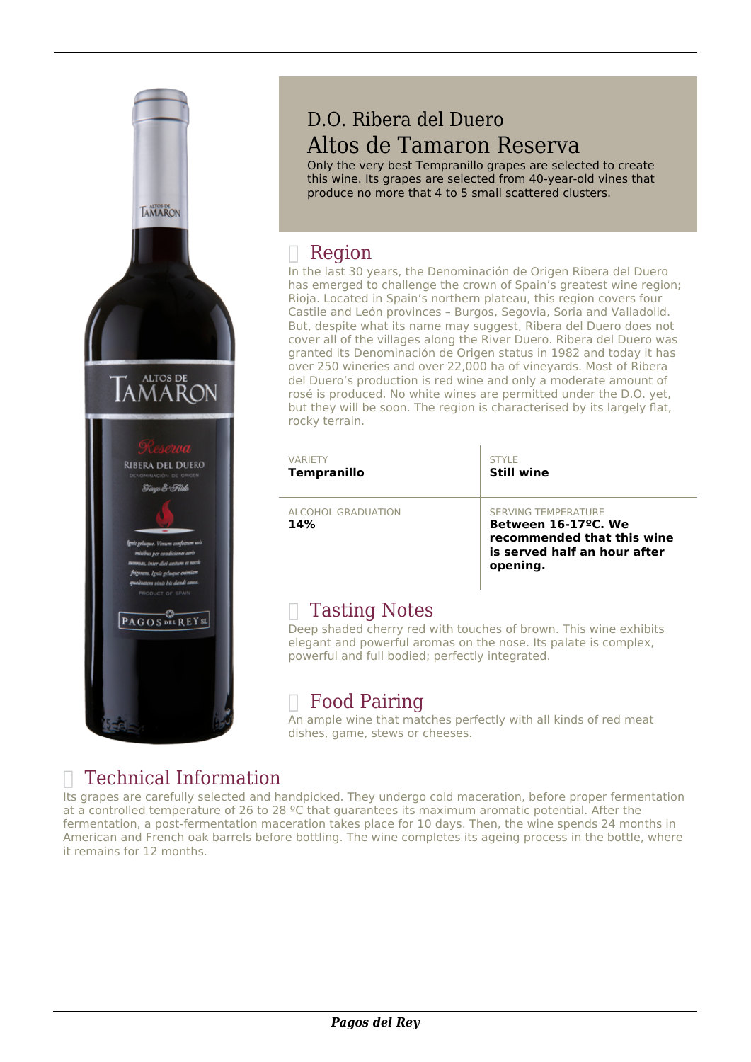

## D.O. Ribera del Duero Altos de Tamaron Reserva

Only the very best Tempranillo grapes are selected to create this wine. Its grapes are selected from 40-year-old vines that produce no more that 4 to 5 small scattered clusters.

## Region

In the last 30 years, the Denominación de Origen Ribera del Duero has emerged to challenge the crown of Spain's greatest wine region; Rioja. Located in Spain's northern plateau, this region covers four Castile and León provinces – Burgos, Segovia, Soria and Valladolid. But, despite what its name may suggest, Ribera del Duero does not cover all of the villages along the River Duero. Ribera del Duero was granted its Denominación de Origen status in 1982 and today it has over 250 wineries and over 22,000 ha of vineyards. Most of Ribera del Duero's production is red wine and only a moderate amount of rosé is produced. No white wines are permitted under the D.O. yet, but they will be soon. The region is characterised by its largely flat, rocky terrain.

| <b>VARIFTY</b><br><b>Tempranillo</b> | STYLE<br><b>Still wine</b>                                                                                                               |
|--------------------------------------|------------------------------------------------------------------------------------------------------------------------------------------|
| ALCOHOL GRADUATION<br>14%            | <b>SERVING TEMPERATURE</b><br>Between 16-17 <sup>o</sup> C. We<br>recommended that this wine<br>is served half an hour after<br>opening. |
| Tacting Notos                        |                                                                                                                                          |

#### $\parallel$  Tasting Notes

Deep shaded cherry red with touches of brown. This wine exhibits elegant and powerful aromas on the nose. Its palate is complex, powerful and full bodied; perfectly integrated.

### $\Box$  Food Pairing

An ample wine that matches perfectly with all kinds of red meat dishes, game, stews or cheeses.

# Technical Information

Its grapes are carefully selected and handpicked. They undergo cold maceration, before proper fermentation at a controlled temperature of 26 to 28 ºC that guarantees its maximum aromatic potential. After the fermentation, a post-fermentation maceration takes place for 10 days. Then, the wine spends 24 months in American and French oak barrels before bottling. The wine completes its ageing process in the bottle, where it remains for 12 months.